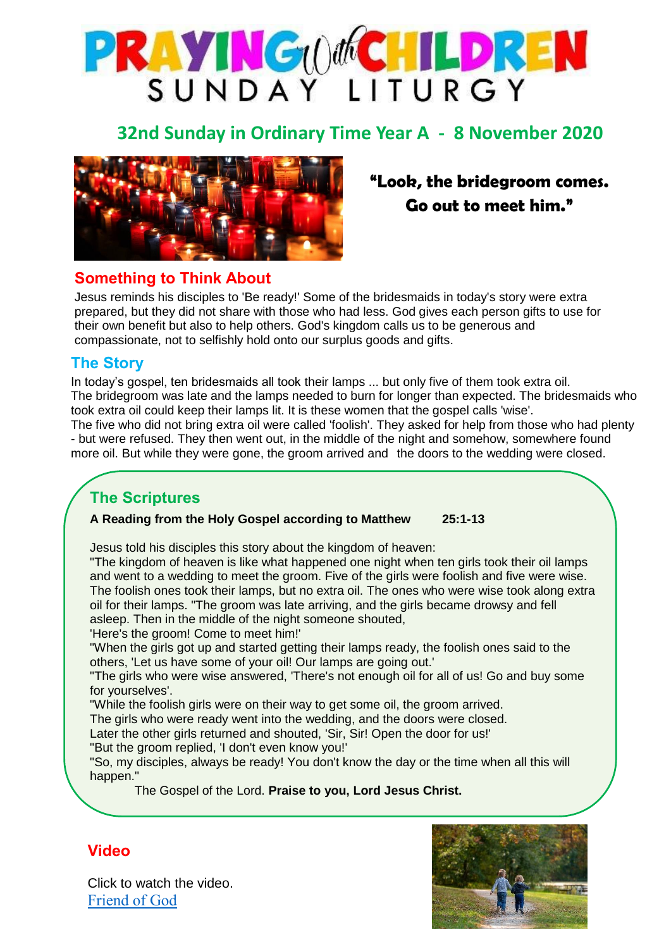

## **32nd Sunday in Ordinary Time Year A - 8 November 2020**



# **"Look, the bridegroom comes. Go out to meet him."**

#### **Something to Think About**

 Jesus reminds his disciples to 'Be ready!' Some of the bridesmaids in today's story were extra prepared, but they did not share with those who had less. God gives each person gifts to use for their own benefit but also to help others. God's kingdom calls us to be generous and compassionate, not to selfishly hold onto our surplus goods and gifts.

#### **The Story**

In today's gospel, ten bridesmaids all took their lamps ... but only five of them took extra oil. The bridegroom was late and the lamps needed to burn for longer than expected. The bridesmaids who took extra oil could keep their lamps lit. It is these women that the gospel calls 'wise'. The five who did not bring extra oil were called 'foolish'. They asked for help from those who had plenty - but were refused. They then went out, in the middle of the night and somehow, somewhere found more oil. But while they were gone, the groom arrived and the doors to the wedding were closed.

## **The Scriptures**

#### **A Reading from the Holy Gospel according to Matthew 25:1-13**

Jesus told his disciples this story about the kingdom of heaven:

"The kingdom of heaven is like what happened one night when ten girls took their oil lamps and went to a wedding to meet the groom. Five of the girls were foolish and five were wise. The foolish ones took their lamps, but no extra oil. The ones who were wise took along extra oil for their lamps. "The groom was late arriving, and the girls became drowsy and fell asleep. Then in the middle of the night someone shouted,

'Here's the groom! Come to meet him!'

Jesus reminds his disciples to always be ready.

"When the girls got up and started getting their lamps ready, the foolish ones said to the others, 'Let us have some of your oil! Our lamps are going out.'

"The girls who were wise answered, 'There's not enough oil for all of us! Go and buy some for yourselves'.

"While the foolish girls were on their way to get some oil, the groom arrived.

The girls who were ready went into the wedding, and the doors were closed.

Later the other girls returned and shouted, 'Sir, Sir! Open the door for us!'

"But the groom replied, 'I don't even know you!'

"So, my disciples, always be ready! You don't know the day or the time when all this will happen."

The Gospel of the Lord. **Praise to you, Lord Jesus Christ.**



## **Video**

Click to watch the video. [Friend of God](https://youtu.be/QvZgZau7koY)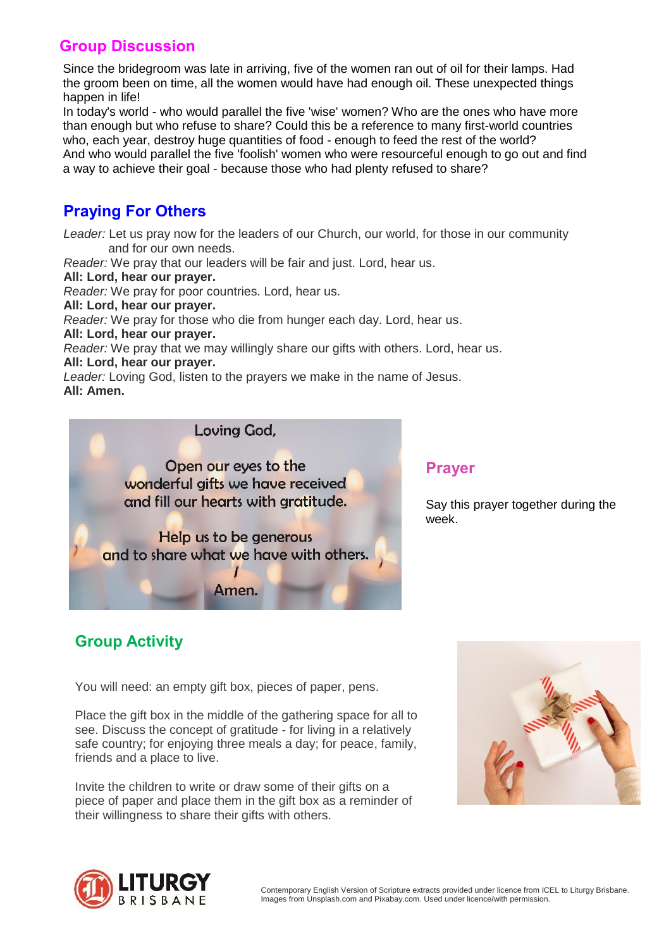#### **Group Discussion**

Since the bridegroom was late in arriving, five of the women ran out of oil for their lamps. Had the groom been on time, all the women would have had enough oil. These unexpected things happen in life!

In today's world - who would parallel the five 'wise' women? Who are the ones who have more than enough but who refuse to share? Could this be a reference to many first-world countries who, each year, destroy huge quantities of food - enough to feed the rest of the world? And who would parallel the five 'foolish' women who were resourceful enough to go out and find a way to achieve their goal - because those who had plenty refused to share?

## **Praying For Others**

*Leader:* Let us pray now for the leaders of our Church, our world, for those in our community and for our own needs.

*Reader:* We pray that our leaders will be fair and just. Lord, hear us.

**All: Lord, hear our prayer.**

*Reader:* We pray for poor countries. Lord, hear us.

**All: Lord, hear our prayer.**

*Reader:* We pray for those who die from hunger each day. Lord, hear us.

**All: Lord, hear our prayer.**

*Reader:* We pray that we may willingly share our gifts with others. Lord, hear us.

#### **All: Lord, hear our prayer.**

*Leader:* Loving God, listen to the prayers we make in the name of Jesus. **All: Amen.**

> Open our eyes to the wonderful gifts we have received and fill our hearts with gratitude.

Lovina God.

Help us to be generous and to share what we have with others.

Amen.

### **Prayer**

Say this prayer together during the week.

## **Group Activity**

You will need: an empty gift box, pieces of paper, pens.

Place the gift box in the middle of the gathering space for all to see. Discuss the concept of gratitude - for living in a relatively safe country; for enjoying three meals a day; for peace, family, friends and a place to live.

Invite the children to write or draw some of their gifts on a piece of paper and place them in the gift box as a reminder of their willingness to share their gifts with others.